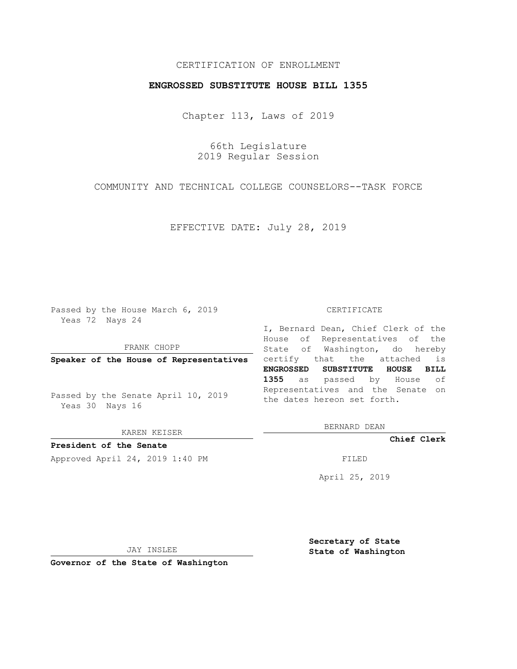# CERTIFICATION OF ENROLLMENT

## **ENGROSSED SUBSTITUTE HOUSE BILL 1355**

Chapter 113, Laws of 2019

66th Legislature 2019 Regular Session

COMMUNITY AND TECHNICAL COLLEGE COUNSELORS--TASK FORCE

EFFECTIVE DATE: July 28, 2019

Passed by the House March 6, 2019 Yeas 72 Nays 24

FRANK CHOPP

Passed by the Senate April 10, 2019 Yeas 30 Nays 16

KAREN KEISER

**President of the Senate**

Approved April 24, 2019 1:40 PM FILED

#### CERTIFICATE

**Speaker of the House of Representatives** certify that the attached is I, Bernard Dean, Chief Clerk of the House of Representatives of the State of Washington, do hereby **ENGROSSED SUBSTITUTE HOUSE BILL 1355** as passed by House of Representatives and the Senate on the dates hereon set forth.

BERNARD DEAN

**Chief Clerk**

April 25, 2019

JAY INSLEE

**Governor of the State of Washington**

**Secretary of State State of Washington**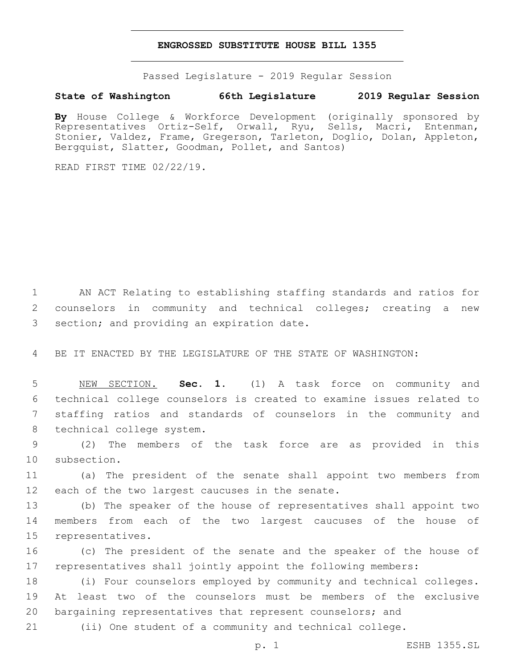### **ENGROSSED SUBSTITUTE HOUSE BILL 1355**

Passed Legislature - 2019 Regular Session

# **State of Washington 66th Legislature 2019 Regular Session**

**By** House College & Workforce Development (originally sponsored by Representatives Ortiz-Self, Orwall, Ryu, Sells, Macri, Entenman, Stonier, Valdez, Frame, Gregerson, Tarleton, Doglio, Dolan, Appleton, Bergquist, Slatter, Goodman, Pollet, and Santos)

READ FIRST TIME 02/22/19.

1 AN ACT Relating to establishing staffing standards and ratios for 2 counselors in community and technical colleges; creating a new 3 section; and providing an expiration date.

4 BE IT ENACTED BY THE LEGISLATURE OF THE STATE OF WASHINGTON:

 NEW SECTION. **Sec. 1.** (1) A task force on community and technical college counselors is created to examine issues related to staffing ratios and standards of counselors in the community and technical college system.

9 (2) The members of the task force are as provided in this 10 subsection.

11 (a) The president of the senate shall appoint two members from 12 each of the two largest caucuses in the senate.

13 (b) The speaker of the house of representatives shall appoint two 14 members from each of the two largest caucuses of the house of 15 representatives.

16 (c) The president of the senate and the speaker of the house of 17 representatives shall jointly appoint the following members:

18 (i) Four counselors employed by community and technical colleges. 19 At least two of the counselors must be members of the exclusive 20 bargaining representatives that represent counselors; and

21 (ii) One student of a community and technical college.

p. 1 ESHB 1355.SL